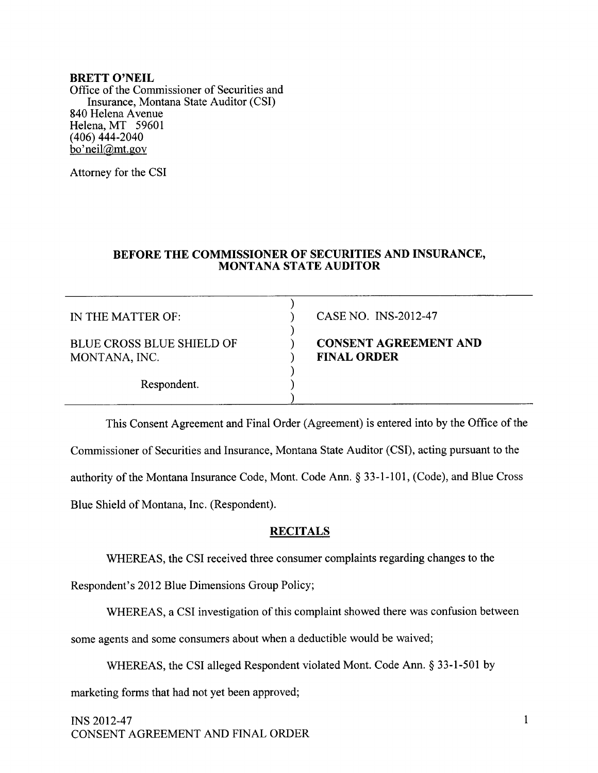#### BRETT O'NEIL

Office of the Commissioner of Securities and Insurance, Montana State Auditor (CSf 840 Helena Avenue Helena, MT <sup>59601</sup> (406) 444-2040 bo'neil@mt.gov

Attorney for the CSI

### BEFORE THE COMMISSIONER OF SECURITIES AND INSURANCE, MONTANA STATE AUDITOR

| IN THE MATTER OF:                                 | CASE NO. INS-2012-47                               |
|---------------------------------------------------|----------------------------------------------------|
| <b>BLUE CROSS BLUE SHIELD OF</b><br>MONTANA, INC. | <b>CONSENT AGREEMENT AND</b><br><b>FINAL ORDER</b> |
| Respondent.                                       |                                                    |

This Consent Agreement and Final Order (Agreement) is entered into by the Office of the Commissioner of Securities and Insurance, Montana State Auditor (CSI), acting pursuant to the authority of the Montana Insurance Code, Mont. Code Ann. \$ 33-l-101, (Code), and Blue Cross Blue Shield of Montana, Inc. (Respondent).

## **RECITALS**

WHEREAS, the CSI received three consumer complaints regarding changes to the

Respondent's 2012 Blue Dimensions Group Policy;

WHEREAS, a CSI investigation of this complaint showed there was confusion between some agents and some consumers about when a deductible would be waived;

WHEREAS, the CSI alleged Respondent violated Mont. Code Ann. \$ 33-l-501 by

marketing forms that had not yet been approved;

 $INS$  2012-47 1 CONSENT AGREEMENT AND FINAL ORDER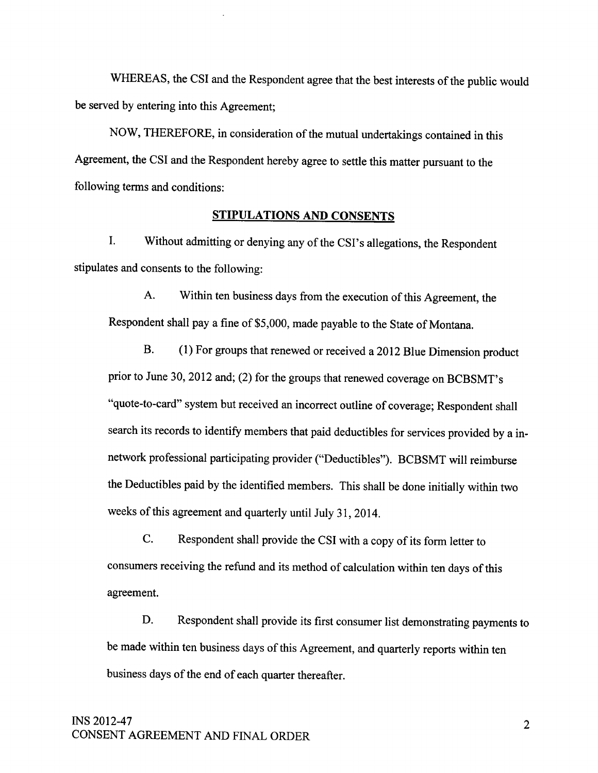WHEREAS, the CSI and the Respondent agree that the best interests of the public would be served by entering into this Agreement;

NOW, THEREFORE, in consideration of the mutual undertakings contained in this Agreement, the CSI and the Respondent hereby agree to settle this matter pursuant to the following terms and conditions:

### STIPULATIONS AND CONSENTS

I. Without admitting or denying any of the CSI's allegations, the Respondent stipulates and consents to the following:

A. Within ten business days from the execution of this Agreement, the Respondent shall pay a fine of \$5,000, made payable to the State of Montana.

B. (1) For groups that renewed or received a 2012 Blue Dimension product prior to June 30, 2012 and; (2) for the groups that renewed coverage on BCBSMT's "quote-to-card" system but received an incorrect outline of coverage; Respondent shall search its records to identify members that paid deductibles for services provided by a innetwork professional participating provider ("Deductibles"). BCBSMT will reimburse the Deductibles paid by the identified members. This shall be done initially within two weeks of this agreement and quarterly until July 31,2014.

C. Respondent shall provide the CSI with a copy of its form letter to consumers receiving the refund and its method of calculation within ten davs of this agreement.

D. Respondent shall provide its first consumer list demonstrating payments to be made within ten business days of this Agreement, and quarterly reports within ten business days of the end of each quarter thereafter.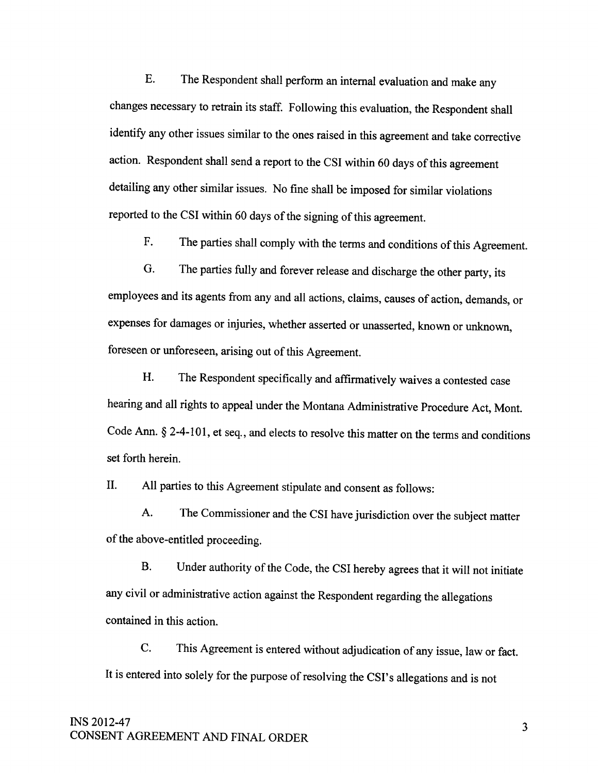E. The Respondent shall perform an internal evaluation and make any changes necessary to retrain its staff. Following this evaluation, the Respondent shall identify any other issues similar to the ones raised in this agreement and take corrective action. Respondent shall send a report to the CSI within 60 days of this agreement detailing any other similar issues. No fine shall be imposed for similar violations reported to the cSI within 60 days of the signing of this agreement.

F. The parties shall comply with the terms and conditions of this Agreement.

G. The parties fully and forever release and discharge the other party, its employees and its agents from any and all actions, claims, causes of action, demands, or expenses for damages or injuries, whether asserted or unasserted, known or unknown. foreseen or unforeseen, arising out of this Agreement.

H. The Respondent specifically and affirmatively waives a contested case hearing and all rights to appeal under the Montana Administrative Procedure Act, Mont. Code Ann. \$ 2-4-101, et seq., and elects to resolve this matter on the terms and conditions set forth herein.

II. All parties to this Agreement stipulate and consent as follows:

A. The Commissioner and the CSI have jurisdiction over the subject matter of the above-entitled proceeding.

B. Under authority of the Code, the CSI hereby agrees that it will not initiate any civil or administrative action against the Respondent regarding the allegations contained in this action.

C. This Agreement is entered without adjudication of any issue, law or fact. It is entered into solely for the purpose of resolving the CSI's allegations and is not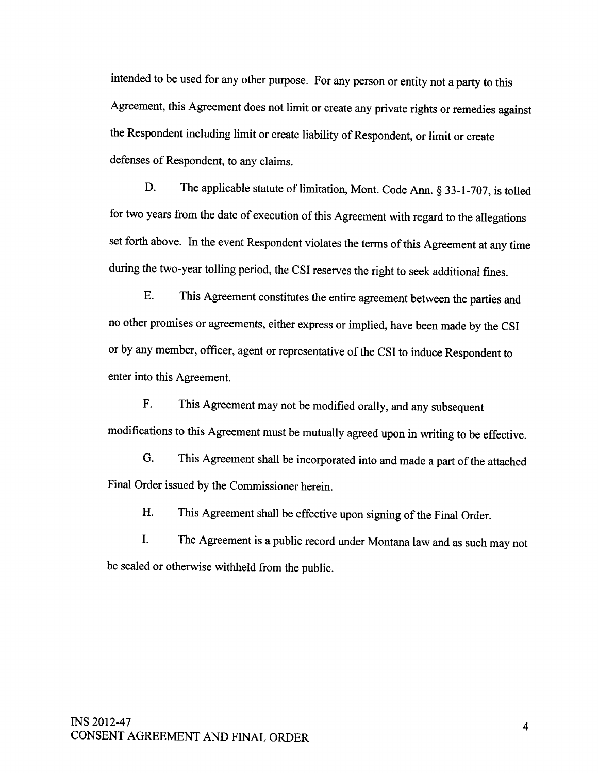intended to be used for any other purpose. For any person or entity not a party to this Agreement, this Agreement does not limit or create any private rights or remedies against the Respondent including limit or create liability of Respondent, or limit or create defenses of Respondent, to any claims.

D. The applicable statute of limitation, Mont. Code Ann. § 33-1-707, is tolled for two years from the date of execution of this Agreement with regard to the allegations set forth above. In the event Respondent violates the terms of this Agreement at any time during the two-year tolling period, the CSI reserves the right to seek additional fines.

E. This Agreement constitutes the entire agreement between the parties and no other promises or agreements, either express or implied, have been made by the CSI or by any member, officer, agent or representative of the CSI to induce Respondent to enter into this Agreement.

F. This Agreement may not be modified orally, and any subsequent modifications to this Agreement must be mutually agreed upon in writing to be effective.

G. This Agreement shall be incorporated into and made a part of the attached Final Order issued by the Commissioner herein.

H. This Agreement shall be effective upon signing of the Final Order.

I. The Agreement is a public record under Montana law and as such may not be sealed or otherwise withheld from the public.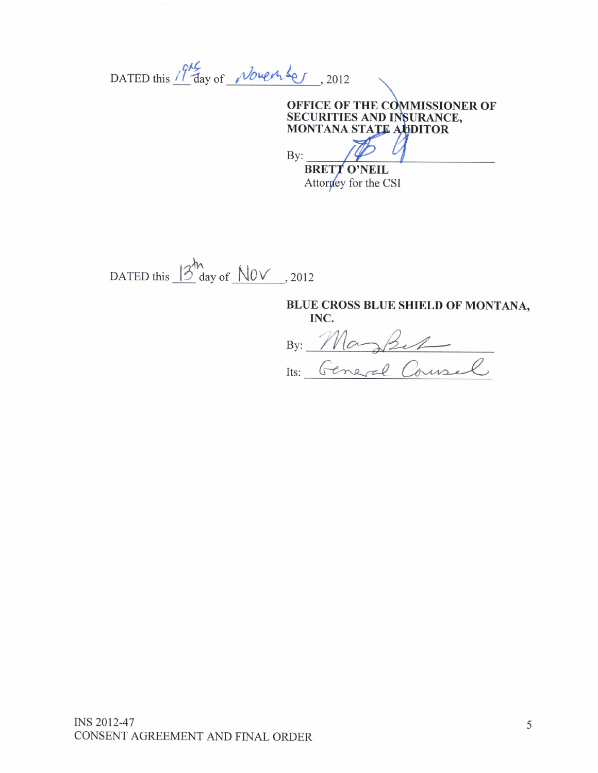DATED this 19th day of November, 2012

## OFFICE OF THE COMMISSIONER OF SECURITIES AND INSURANCE, MONTANA STATE AUDITOR

By: **BRETT O'NEIL** Attorney for the CSI

DATED this  $\frac{3^h}{2^h}$  day of  $\frac{N0v}{2012}$ , 2012

# BLUE CROSS BLUE SHIELD OF MONTANA, INC.

By: Maghet